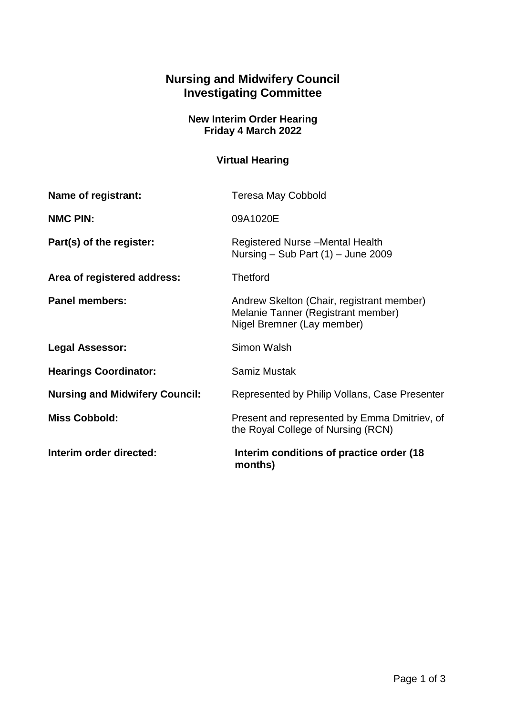## **Nursing and Midwifery Council Investigating Committee**

## **New Interim Order Hearing Friday 4 March 2022**

## **Virtual Hearing**

| Name of registrant:                   | <b>Teresa May Cobbold</b>                                                                                     |
|---------------------------------------|---------------------------------------------------------------------------------------------------------------|
| <b>NMC PIN:</b>                       | 09A1020E                                                                                                      |
| Part(s) of the register:              | Registered Nurse - Mental Health<br>Nursing – Sub Part $(1)$ – June 2009                                      |
| Area of registered address:           | <b>Thetford</b>                                                                                               |
| <b>Panel members:</b>                 | Andrew Skelton (Chair, registrant member)<br>Melanie Tanner (Registrant member)<br>Nigel Bremner (Lay member) |
| <b>Legal Assessor:</b>                | Simon Walsh                                                                                                   |
| <b>Hearings Coordinator:</b>          | Samiz Mustak                                                                                                  |
| <b>Nursing and Midwifery Council:</b> | Represented by Philip Vollans, Case Presenter                                                                 |
| <b>Miss Cobbold:</b>                  | Present and represented by Emma Dmitriev, of<br>the Royal College of Nursing (RCN)                            |
| Interim order directed:               | Interim conditions of practice order (18)<br>months)                                                          |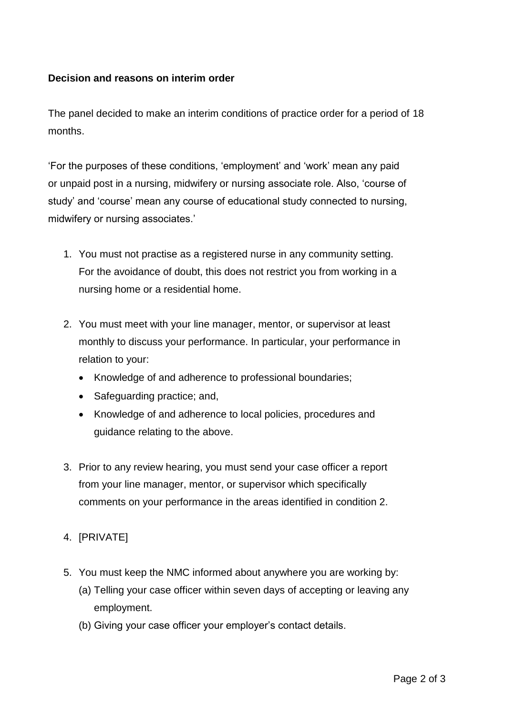## **Decision and reasons on interim order**

The panel decided to make an interim conditions of practice order for a period of 18 months.

'For the purposes of these conditions, 'employment' and 'work' mean any paid or unpaid post in a nursing, midwifery or nursing associate role. Also, 'course of study' and 'course' mean any course of educational study connected to nursing, midwifery or nursing associates.'

- 1. You must not practise as a registered nurse in any community setting. For the avoidance of doubt, this does not restrict you from working in a nursing home or a residential home.
- 2. You must meet with your line manager, mentor, or supervisor at least monthly to discuss your performance. In particular, your performance in relation to your:
	- Knowledge of and adherence to professional boundaries;
	- Safeguarding practice; and,
	- Knowledge of and adherence to local policies, procedures and guidance relating to the above.
- 3. Prior to any review hearing, you must send your case officer a report from your line manager, mentor, or supervisor which specifically comments on your performance in the areas identified in condition 2.
- 4. [PRIVATE]
- 5. You must keep the NMC informed about anywhere you are working by:
	- (a) Telling your case officer within seven days of accepting or leaving any employment.
	- (b) Giving your case officer your employer's contact details.